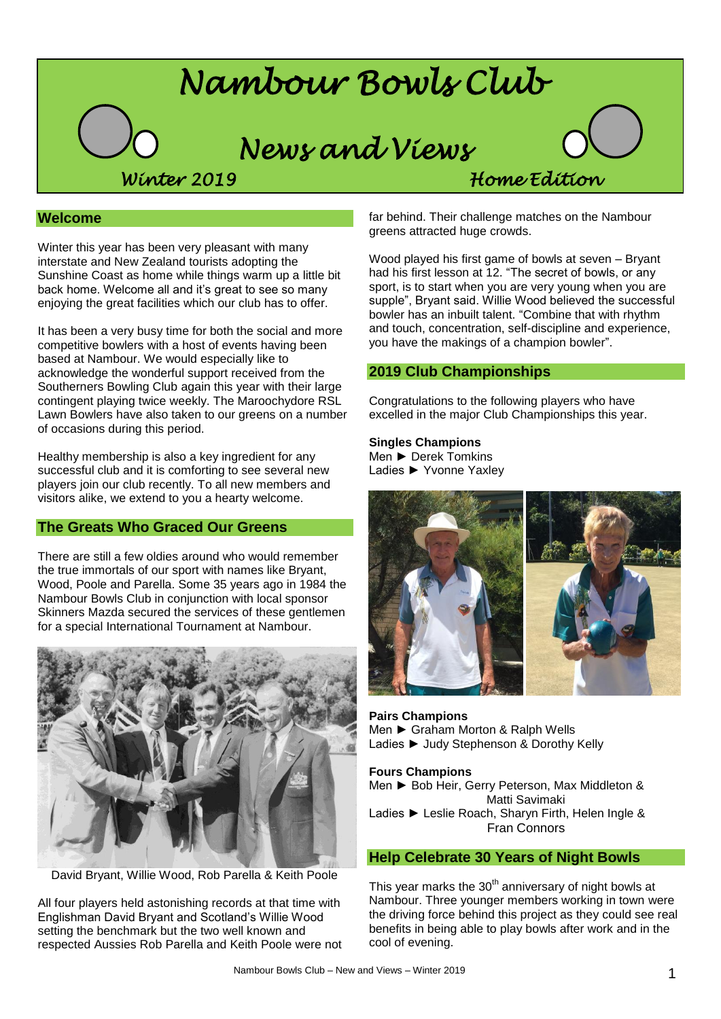

### **Welcome**

Winter this year has been very pleasant with many interstate and New Zealand tourists adopting the Sunshine Coast as home while things warm up a little bit back home. Welcome all and it's great to see so many enjoying the great facilities which our club has to offer.

It has been a very busy time for both the social and more competitive bowlers with a host of events having been based at Nambour. We would especially like to acknowledge the wonderful support received from the Southerners Bowling Club again this year with their large contingent playing twice weekly. The Maroochydore RSL Lawn Bowlers have also taken to our greens on a number of occasions during this period.

Healthy membership is also a key ingredient for any successful club and it is comforting to see several new players join our club recently. To all new members and visitors alike, we extend to you a hearty welcome.

### **The Greats Who Graced Our Greens**

There are still a few oldies around who would remember the true immortals of our sport with names like Bryant, Wood, Poole and Parella. Some 35 years ago in 1984 the Nambour Bowls Club in conjunction with local sponsor Skinners Mazda secured the services of these gentlemen for a special International Tournament at Nambour.



David Bryant, Willie Wood, Rob Parella & Keith Poole

All four players held astonishing records at that time with Englishman David Bryant and Scotland's Willie Wood setting the benchmark but the two well known and respected Aussies Rob Parella and Keith Poole were not far behind. Their challenge matches on the Nambour greens attracted huge crowds.

Wood played his first game of bowls at seven – Bryant had his first lesson at 12. "The secret of bowls, or any sport, is to start when you are very young when you are supple", Bryant said. Willie Wood believed the successful bowler has an inbuilt talent. "Combine that with rhythm and touch, concentration, self-discipline and experience, you have the makings of a champion bowler".

### **2019 Club Championships**

Congratulations to the following players who have excelled in the major Club Championships this year.

#### **Singles Champions** Men ► Derek Tomkins

Ladies ► Yvonne Yaxley



**Pairs Champions** Men ► Graham Morton & Ralph Wells Ladies ► Judy Stephenson & Dorothy Kelly

**Fours Champions** Men ► Bob Heir, Gerry Peterson, Max Middleton & Matti Savimaki Ladies ► Leslie Roach, Sharyn Firth, Helen Ingle & Fran Connors

### **Help Celebrate 30 Years of Night Bowls**

This year marks the  $30<sup>th</sup>$  anniversary of night bowls at Nambour. Three younger members working in town were the driving force behind this project as they could see real benefits in being able to play bowls after work and in the cool of evening.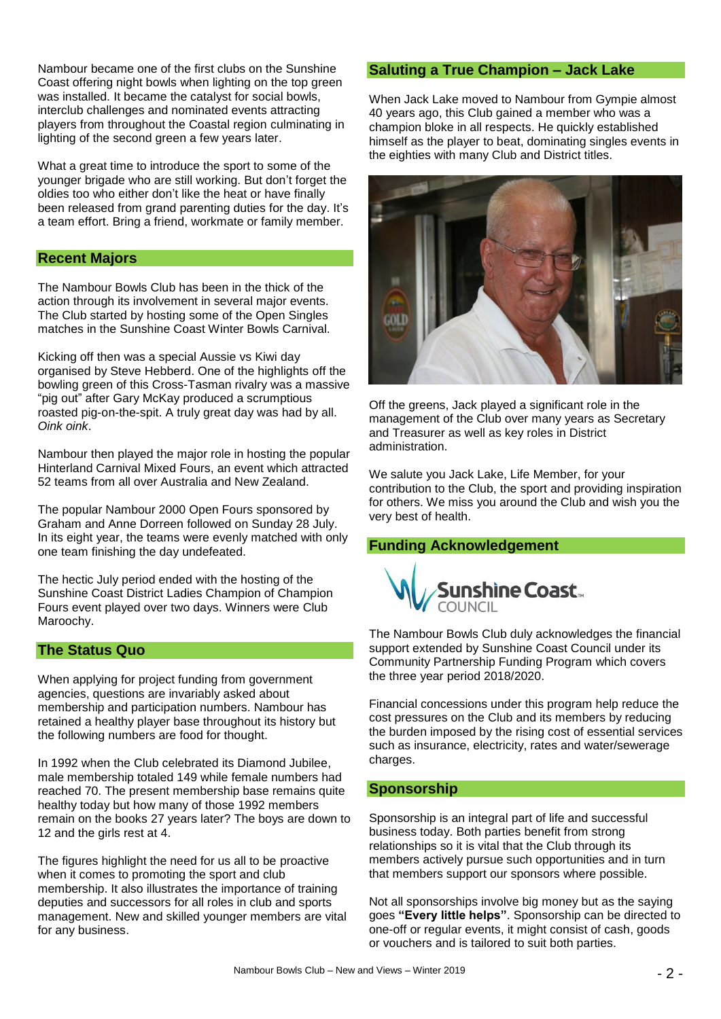Nambour became one of the first clubs on the Sunshine Coast offering night bowls when lighting on the top green was installed. It became the catalyst for social bowls, interclub challenges and nominated events attracting players from throughout the Coastal region culminating in lighting of the second green a few years later.

What a great time to introduce the sport to some of the younger brigade who are still working. But don't forget the oldies too who either don't like the heat or have finally been released from grand parenting duties for the day. It's a team effort. Bring a friend, workmate or family member.

### **Recent Majors**

The Nambour Bowls Club has been in the thick of the action through its involvement in several major events. The Club started by hosting some of the Open Singles matches in the Sunshine Coast Winter Bowls Carnival.

Kicking off then was a special Aussie vs Kiwi day organised by Steve Hebberd. One of the highlights off the bowling green of this Cross-Tasman rivalry was a massive "pig out" after Gary McKay produced a scrumptious roasted pig-on-the-spit. A truly great day was had by all. *Oink oink*.

Nambour then played the major role in hosting the popular Hinterland Carnival Mixed Fours, an event which attracted 52 teams from all over Australia and New Zealand.

The popular Nambour 2000 Open Fours sponsored by Graham and Anne Dorreen followed on Sunday 28 July. In its eight year, the teams were evenly matched with only one team finishing the day undefeated.

The hectic July period ended with the hosting of the Sunshine Coast District Ladies Champion of Champion Fours event played over two days. Winners were Club Maroochy.

# **The Status Quo**

When applying for project funding from government agencies, questions are invariably asked about membership and participation numbers. Nambour has retained a healthy player base throughout its history but the following numbers are food for thought.

In 1992 when the Club celebrated its Diamond Jubilee, male membership totaled 149 while female numbers had reached 70. The present membership base remains quite healthy today but how many of those 1992 members remain on the books 27 years later? The boys are down to 12 and the girls rest at 4.

The figures highlight the need for us all to be proactive when it comes to promoting the sport and club membership. It also illustrates the importance of training deputies and successors for all roles in club and sports management. New and skilled younger members are vital for any business.

#### **Saluting a True Champion – Jack Lake**

When Jack Lake moved to Nambour from Gympie almost 40 years ago, this Club gained a member who was a champion bloke in all respects. He quickly established himself as the player to beat, dominating singles events in the eighties with many Club and District titles.



Off the greens, Jack played a significant role in the management of the Club over many years as Secretary and Treasurer as well as key roles in District administration.

We salute you Jack Lake, Life Member, for your contribution to the Club, the sport and providing inspiration for others. We miss you around the Club and wish you the very best of health.

### **Funding Acknowledgement**



The Nambour Bowls Club duly acknowledges the financial support extended by Sunshine Coast Council under its Community Partnership Funding Program which covers the three year period 2018/2020.

Financial concessions under this program help reduce the cost pressures on the Club and its members by reducing the burden imposed by the rising cost of essential services such as insurance, electricity, rates and water/sewerage charges.

### **Sponsorship**

Sponsorship is an integral part of life and successful business today. Both parties benefit from strong relationships so it is vital that the Club through its members actively pursue such opportunities and in turn that members support our sponsors where possible.

Not all sponsorships involve big money but as the saying goes **"Every little helps"**. Sponsorship can be directed to one-off or regular events, it might consist of cash, goods or vouchers and is tailored to suit both parties.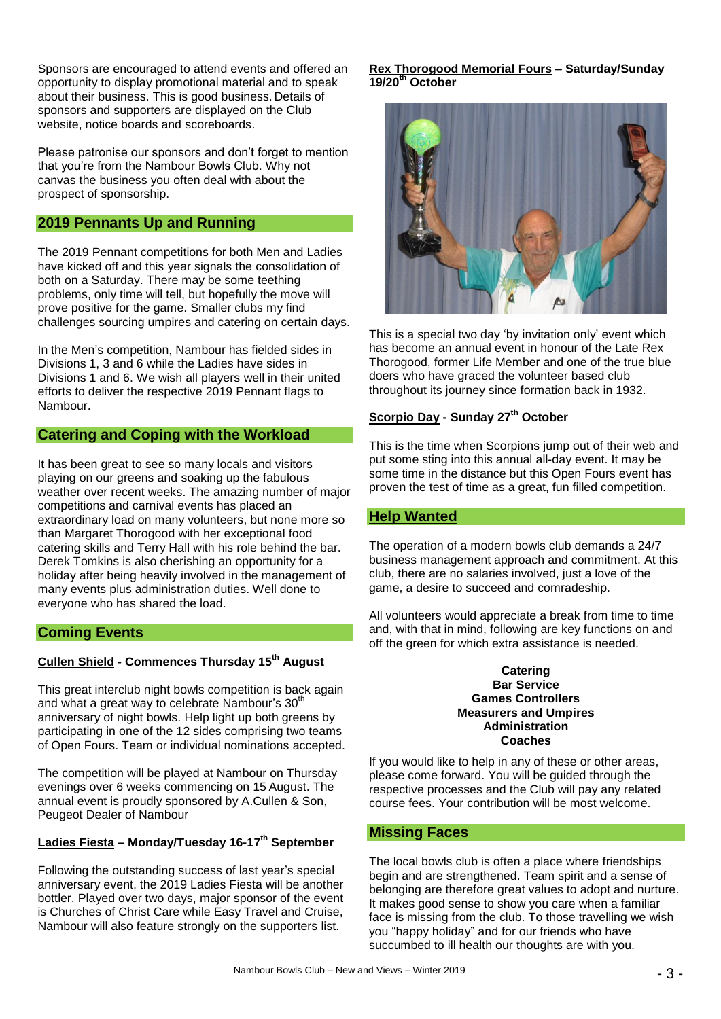Sponsors are encouraged to attend events and offered an opportunity to display promotional material and to speak about their business. This is good business. Details of sponsors and supporters are displayed on the Club website, notice boards and scoreboards.

Please patronise our sponsors and don't forget to mention that you're from the Nambour Bowls Club. Why not canvas the business you often deal with about the prospect of sponsorship.

# **2019 Pennants Up and Running**

The 2019 Pennant competitions for both Men and Ladies have kicked off and this year signals the consolidation of both on a Saturday. There may be some teething problems, only time will tell, but hopefully the move will prove positive for the game. Smaller clubs my find challenges sourcing umpires and catering on certain days.

In the Men's competition, Nambour has fielded sides in Divisions 1, 3 and 6 while the Ladies have sides in Divisions 1 and 6. We wish all players well in their united efforts to deliver the respective 2019 Pennant flags to Nambour.

### **Catering and Coping with the Workload**

It has been great to see so many locals and visitors playing on our greens and soaking up the fabulous weather over recent weeks. The amazing number of major competitions and carnival events has placed an extraordinary load on many volunteers, but none more so than Margaret Thorogood with her exceptional food catering skills and Terry Hall with his role behind the bar. Derek Tomkins is also cherishing an opportunity for a holiday after being heavily involved in the management of many events plus administration duties. Well done to everyone who has shared the load.

### **Coming Events**

# **Cullen Shield - Commences Thursday 15th August**

This great interclub night bowls competition is back again and what a great way to celebrate Nambour's 30<sup>th</sup> anniversary of night bowls. Help light up both greens by participating in one of the 12 sides comprising two teams of Open Fours. Team or individual nominations accepted.

The competition will be played at Nambour on Thursday evenings over 6 weeks commencing on 15 August. The annual event is proudly sponsored by A.Cullen & Son, Peugeot Dealer of Nambour

# **Ladies Fiesta – Monday/Tuesday 16-17th September**

Following the outstanding success of last year's special anniversary event, the 2019 Ladies Fiesta will be another bottler. Played over two days, major sponsor of the event is Churches of Christ Care while Easy Travel and Cruise, Nambour will also feature strongly on the supporters list.

#### **Rex Thorogood Memorial Fours – Saturday/Sunday 19/20 th October**



This is a special two day 'by invitation only' event which has become an annual event in honour of the Late Rex Thorogood, former Life Member and one of the true blue doers who have graced the volunteer based club throughout its journey since formation back in 1932.

### **Scorpio Day - Sunday 27th October**

This is the time when Scorpions jump out of their web and put some sting into this annual all-day event. It may be some time in the distance but this Open Fours event has proven the test of time as a great, fun filled competition.

### **Help Wanted**

The operation of a modern bowls club demands a 24/7 business management approach and commitment. At this club, there are no salaries involved, just a love of the game, a desire to succeed and comradeship.

All volunteers would appreciate a break from time to time and, with that in mind, following are key functions on and off the green for which extra assistance is needed.

#### **Catering Bar Service Games Controllers Measurers and Umpires Administration Coaches**

If you would like to help in any of these or other areas, please come forward. You will be guided through the respective processes and the Club will pay any related course fees. Your contribution will be most welcome.

### **Missing Faces**

The local bowls club is often a place where friendships begin and are strengthened. Team spirit and a sense of belonging are therefore great values to adopt and nurture. It makes good sense to show you care when a familiar face is missing from the club. To those travelling we wish you "happy holiday" and for our friends who have succumbed to ill health our thoughts are with you.